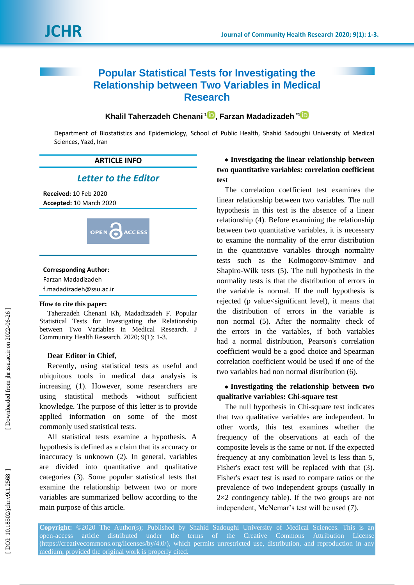# **Popular Statistical Tests for Investigating the Relationship between Two Variables in Medical Research**

## **Khalil Taherzadeh Chenani 1 [,](https://orcid.org/0000-0002-9294-1291) Farzan Madadizadeh \* [1](https://orcid.org/0000-0002-2772-182X)**

Department of Biostatistics and Epidemiology, School of Public Health, Shahid Sadoughi University of Medical Sciences, Yazd, Iran

## **ARTICLE INFO**

## *Letter to the Editor*

**Received:** 10 Feb 2020 **Accepted:** 10 March 2020



#### **Corresponding Author :**

Farzan Madadizadeh f.madadizadeh@ssu.ac.ir

#### **How to cite this paper:**

Taherzadeh Chenani Kh, Madadizadeh F. Popular Statistical Tests for Investigating the Relationship between Two Variables in Medical Research. J Community Health Research. 2020; 9(1): 1 -3.

#### **Dear Editor in Chief** ,

Recently, using statistical tests as useful and ubiquitous tool s in medical data analysis is increasing (1). However , some researchers are using statistical methods without sufficient knowledge. The purpose of this letter is to provide applied information on some of the most commonly used statistical tests.

All statistical tests examine a hypothesis. A hypothesis is defined as a claim that its accuracy or inaccuracy is unknown (2). In general, variables are divided into quantitative and qualitative categories (3). Some popular statistical tests that examine the relationship between two or more variables are summarized bellow according to the main purpose of this article .

## **Investigating the linear relationship between two quantitative variables: correlation coefficient test**

The correlation coefficient test examines the linear relationship between two variables. The null hypothesis in this test is the absence of a linear relationship (4). Before examining the relationship between two quantitative variable s, it is necessary to examine the normality of the error distribution in the quantitative variables through normality tests such as the Kolmogorov -Smirnov and Shapiro -Wilk tests (5). The null hypothesis in the normality tests is that the distribution of errors in the variable is normal. If the null hypothesis is rejected (p value<significant level), it means that the distribution of errors in the variable is non normal (5). After the normality check of the errors in the variables, if both variables had a normal distribution, Pearson's correlation coefficient would be a good choice and Spearman correlation coefficient would be used if one of the two variables had non normal distribution (6).

## **Investigating the relationship between two qualitative variables: Chi -square test**

The null hypothesis in Chi-square test indicates that two qualitative variables are independent. In other words, this test examines whether the frequency of the observations at each of the composite levels is the same or not. If the expected frequency at any combination level is less than 5, Fisher's exact test will be replaced with that (3). Fisher's exact test is used to compare ratios or the prevalence of two independent groups (usually in 2×2 contingency table ) . If the two groups are not independent, McNemar's test will be used (7).

**Copyright:** ©2020 The Author(s); Published by Shahid Sadoughi University of Medical Sciences. This is an open -access article distributed under the terms of the Creative Commons Attribution License [\(https://creativecommons.org/licenses/by/4.0/\)](https://creativecommons.org/licenses/by/4.0/), which permits unrestricted use, distribution, and reproduction in any medium, provided the original work is properly cited.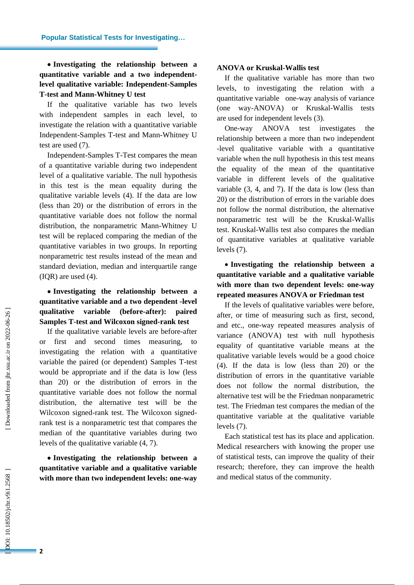## **Investigating the relationship between a quantitative variable and a two independent level qualitative variable: Independent -Samples T -test and Mann -Whitney U test**

If the qualitative variable has two levels with independent samples in each level, to investigate the relation with a quantitative variable Independent -Samples T -test and Mann -Whitney U test are used (7).

Independent -Samples T -Test compares the mean of a quantitative variable during two independent level of a qualitative variable. The null hypothesis in this test is the mean equality during the qualitative variable levels (4). If the data are low (less than 20) or the distribution of errors in the quantitative variable does not follow the normal distribution, the nonparametric Mann -Whitney U test will be replaced comparing the median of the quantitative variables in two groups. In reporting nonparametric test results instead of the mean and standard deviation , median and interquartile range (IQR) are used (4).

#### **Investigating the relationship between a quantitative variable and a two dependent -level qualitative variable (before** (before-after): paired **Samples T -test and Wilcoxon signed -rank test**

If the qualitative variable levels are before -after or first and second times measuring, investigating the relation with a quantitative variable the paired (or dependent) Samples T -test would be appropriate and if the data is low (less than 20) or the distribution of errors in the quantitative variable does not follow the normal distribution, the alternative test will be the Wilcoxon signed -rank test. The Wilcoxon signed rank test is a nonparametric test that compares the median of the quantitative variables during two levels of the qualitative variable (4, 7).

 **Investigating the relationship between a quantitative variable and a qualitative variable**  with more than two independent levels: one-way

#### **ANOVA or Kruskal -Wallis test**

If the qualitative variable has more than two levels , to investigating the relation with a quantitative variable one -way analysis of variance (one way -ANOVA ) or Kruskal -Wallis test s are used for independent levels (3).

One-way ANOVA test investigates the relationship between a more than two independent -level qualitative variable with a quantitative variable when the null hypothesis in this test means the equality of the mean of the quantitative variable in different levels of the qualitative variable (3, 4, and 7). If the data is low (less than 20) or the distribution of errors in the variable does not follow the normal distribution, the alternative nonparametric test will be the Kruskal -Wallis test. Kruskal -Wallis test also compares the median of quantitative variables at qualitative variable levels (7).

## **Investigating the relationship between a quantitative variable and a qualitative variable with more than two dependent levels : one -way repeated measures ANOVA or Friedman test**

If the levels of qualitative variables were before, after, or time of measuring such as first, second, and etc., one -way repeated measures analysis of variance (ANOVA ) test with null hypothesis equality of quantitative variable means at the qualitative variable levels would be a good choice (4). If the data is low (less than 20) or the distribution of errors in the quantitative variable does not follow the normal distribution, the alternative test will be the Friedman nonparametric test. The Friedman test compares the median of the quantitative variable at the qualitative variable levels (7).

Each statistical test has its place and application. Medical researchers with knowing the proper use of statistical tests, can improve the quality of their research; therefore , they can improve the health and medical status of the community.